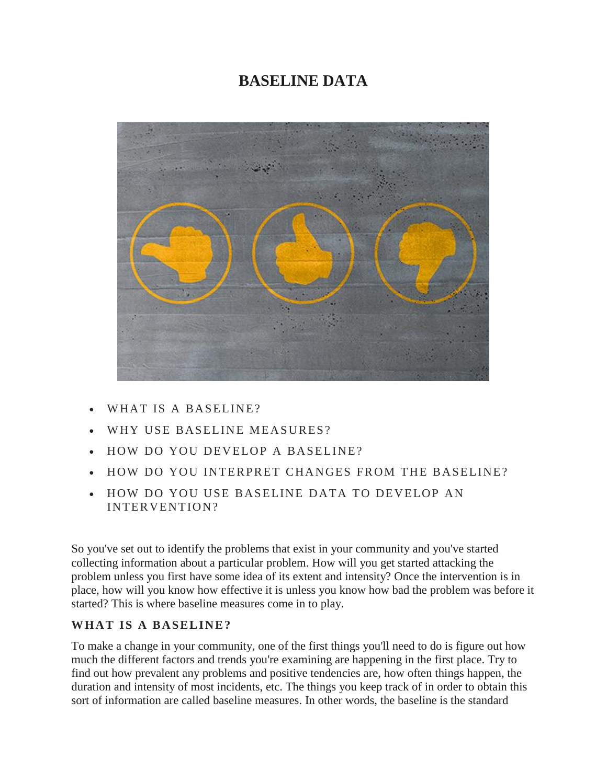# **BASELINE DATA**



- WHAT IS A BASELINE?
- WHY USE BASELINE MEASURES?
- HOW DO YOU DEVELOP A BASELINE?
- HOW DO YOU INTERPRET CHANGES FROM THE BASELINE?
- HOW DO YOU USE BASELINE DATA TO DEVELOP AN INTERVENTION?

So you've set out to identify the problems that exist in your community and you've started collecting information about a particular problem. How will you get started attacking the problem unless you first have some idea of its extent and intensity? Once the intervention is in place, how will you know how effective it is unless you know how bad the problem was before it started? This is where baseline measures come in to play.

#### WHAT IS A BASELINE?

To make a change in your community, one of the first things you'll need to do is figure out how much the different factors and trends you're examining are happening in the first place. Try to find out how prevalent any problems and positive tendencies are, how often things happen, the duration and intensity of most incidents, etc. The things you keep track of in order to obtain this sort of information are called baseline measures. In other words, the baseline is the standard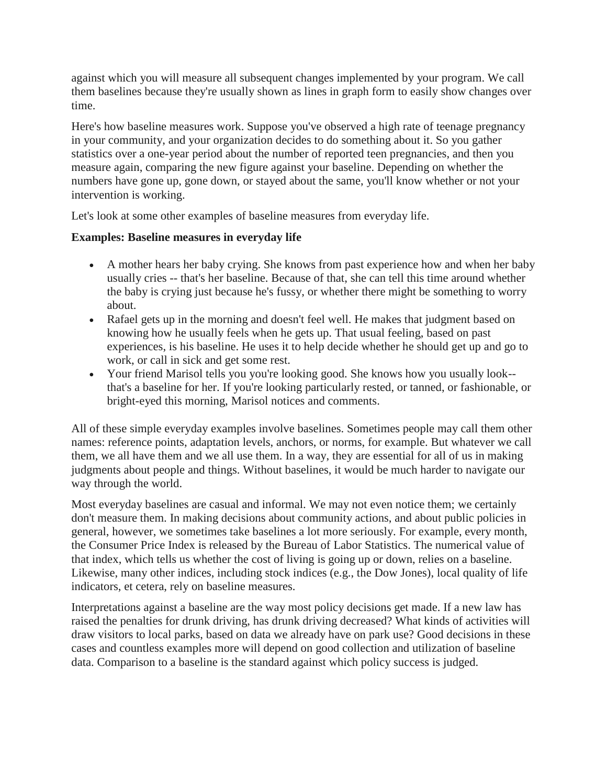against which you will measure all subsequent changes implemented by your program. We call them baselines because they're usually shown as lines in graph form to easily show changes over time.

Here's how baseline measures work. Suppose you've observed a high rate of teenage pregnancy in your community, and your organization decides to do something about it. So you gather statistics over a one-year period about the number of reported teen pregnancies, and then you measure again, comparing the new figure against your baseline. Depending on whether the numbers have gone up, gone down, or stayed about the same, you'll know whether or not your intervention is working.

Let's look at some other examples of baseline measures from everyday life.

#### **Examples: Baseline measures in everyday life**

- A mother hears her baby crying. She knows from past experience how and when her baby usually cries -- that's her baseline. Because of that, she can tell this time around whether the baby is crying just because he's fussy, or whether there might be something to worry about.
- Rafael gets up in the morning and doesn't feel well. He makes that judgment based on knowing how he usually feels when he gets up. That usual feeling, based on past experiences, is his baseline. He uses it to help decide whether he should get up and go to work, or call in sick and get some rest.
- Your friend Marisol tells you you're looking good. She knows how you usually look- that's a baseline for her. If you're looking particularly rested, or tanned, or fashionable, or bright-eyed this morning, Marisol notices and comments.

All of these simple everyday examples involve baselines. Sometimes people may call them other names: reference points, adaptation levels, anchors, or norms, for example. But whatever we call them, we all have them and we all use them. In a way, they are essential for all of us in making judgments about people and things. Without baselines, it would be much harder to navigate our way through the world.

Most everyday baselines are casual and informal. We may not even notice them; we certainly don't measure them. In making decisions about community actions, and about public policies in general, however, we sometimes take baselines a lot more seriously. For example, every month, the Consumer Price Index is released by the Bureau of Labor Statistics. The numerical value of that index, which tells us whether the cost of living is going up or down, relies on a baseline. Likewise, many other indices, including stock indices (e.g., the Dow Jones), local quality of life indicators, et cetera, rely on baseline measures.

Interpretations against a baseline are the way most policy decisions get made. If a new law has raised the penalties for drunk driving, has drunk driving decreased? What kinds of activities will draw visitors to local parks, based on data we already have on park use? Good decisions in these cases and countless examples more will depend on good collection and utilization of baseline data. Comparison to a baseline is the standard against which policy success is judged.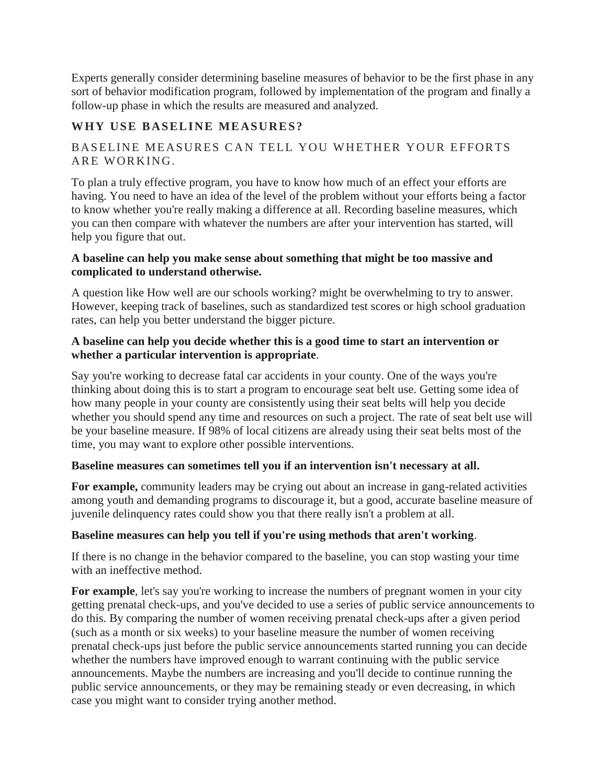Experts generally consider determining baseline measures of behavior to be the first phase in any sort of behavior modification program, followed by implementation of the program and finally a follow-up phase in which the results are measured and analyzed.

# WHY USE BASELINE MEASURES?

# BASELINE MEASURES CAN TELL YOU WHETHER YOUR EFFORTS ARE WORKING.

To plan a truly effective program, you have to know how much of an effect your efforts are having. You need to have an idea of the level of the problem without your efforts being a factor to know whether you're really making a difference at all. Recording baseline measures, which you can then compare with whatever the numbers are after your intervention has started, will help you figure that out.

### **A baseline can help you make sense about something that might be too massive and complicated to understand otherwise.**

A question like How well are our schools working? might be overwhelming to try to answer. However, keeping track of baselines, such as standardized test scores or high school graduation rates, can help you better understand the bigger picture.

#### **A baseline can help you decide whether this is a good time to start an intervention or whether a particular intervention is appropriate**.

Say you're working to decrease fatal car accidents in your county. One of the ways you're thinking about doing this is to start a program to encourage seat belt use. Getting some idea of how many people in your county are consistently using their seat belts will help you decide whether you should spend any time and resources on such a project. The rate of seat belt use will be your baseline measure. If 98% of local citizens are already using their seat belts most of the time, you may want to explore other possible interventions.

#### **Baseline measures can sometimes tell you if an intervention isn't necessary at all.**

**For example,** community leaders may be crying out about an increase in gang-related activities among youth and demanding programs to discourage it, but a good, accurate baseline measure of juvenile delinquency rates could show you that there really isn't a problem at all.

#### **Baseline measures can help you tell if you're using methods that aren't working**.

If there is no change in the behavior compared to the baseline, you can stop wasting your time with an ineffective method.

For example, let's say you're working to increase the numbers of pregnant women in your city getting prenatal check-ups, and you've decided to use a series of public service announcements to do this. By comparing the number of women receiving prenatal check-ups after a given period (such as a month or six weeks) to your baseline measure the number of women receiving prenatal check-ups just before the public service announcements started running you can decide whether the numbers have improved enough to warrant continuing with the public service announcements. Maybe the numbers are increasing and you'll decide to continue running the public service announcements, or they may be remaining steady or even decreasing, in which case you might want to consider trying another method.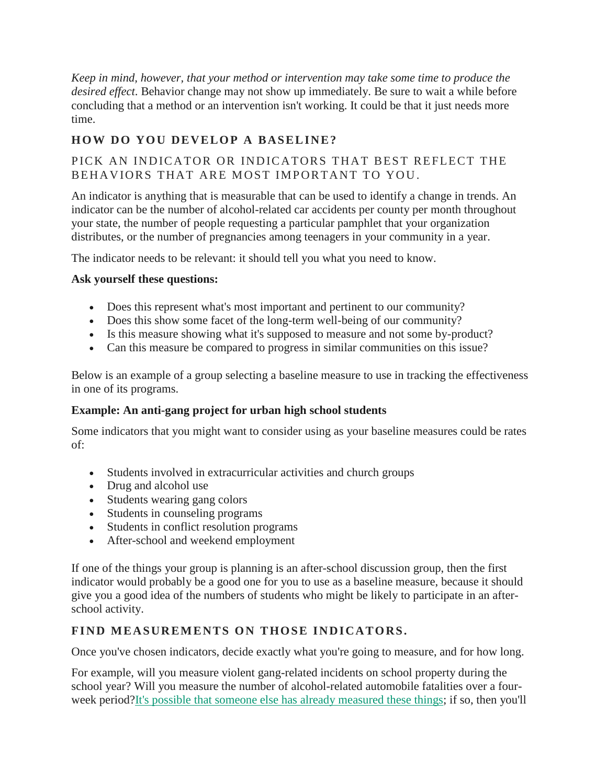*Keep in mind, however, that your method or intervention may take some time to produce the desired effect*. Behavior change may not show up immediately. Be sure to wait a while before concluding that a method or an intervention isn't working. It could be that it just needs more time.

# **HOW DO YOU DEVELOP A BASELINE?**

# PICK AN INDICATOR OR INDICATORS THAT BEST REFLECT THE BEHAVIORS THAT ARE MOST IMPORTANT TO YOU.

An indicator is anything that is measurable that can be used to identify a change in trends. An indicator can be the number of alcohol-related car accidents per county per month throughout your state, the number of people requesting a particular pamphlet that your organization distributes, or the number of pregnancies among teenagers in your community in a year.

The indicator needs to be relevant: it should tell you what you need to know.

# **Ask yourself these questions:**

- Does this represent what's most important and pertinent to our community?
- Does this show some facet of the long-term well-being of our community?
- Is this measure showing what it's supposed to measure and not some by-product?
- Can this measure be compared to progress in similar communities on this issue?

Below is an example of a group selecting a baseline measure to use in tracking the effectiveness in one of its programs.

#### **Example: An anti-gang project for urban high school students**

Some indicators that you might want to consider using as your baseline measures could be rates of:

- Students involved in extracurricular activities and church groups
- Drug and alcohol use
- Students wearing gang colors
- Students in counseling programs
- Students in conflict resolution programs
- After-school and weekend employment

If one of the things your group is planning is an after-school discussion group, then the first indicator would probably be a good one for you to use as a baseline measure, because it should give you a good idea of the numbers of students who might be likely to participate in an afterschool activity.

# FIND MEASUREMENTS ON THOSE INDICATORS.

Once you've chosen indicators, decide exactly what you're going to measure, and for how long.

For example, will you measure violent gang-related incidents on school property during the school year? Will you measure the number of alcohol-related automobile fatalities over a fourweek period[?It's possible that someone else has already measured these things;](http://ctb.ku.edu/en/table-of-contents/assessment/assessing-community-needs-and-resources/collect-information/main) if so, then you'll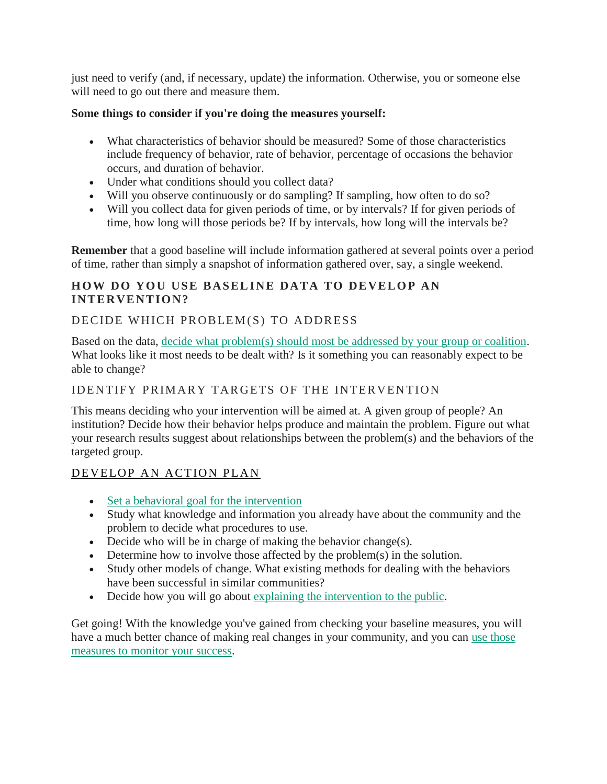just need to verify (and, if necessary, update) the information. Otherwise, you or someone else will need to go out there and measure them.

### **Some things to consider if you're doing the measures yourself:**

- What characteristics of behavior should be measured? Some of those characteristics include frequency of behavior, rate of behavior, percentage of occasions the behavior occurs, and duration of behavior.
- Under what conditions should you collect data?
- Will you observe continuously or do sampling? If sampling, how often to do so?
- Will you collect data for given periods of time, or by intervals? If for given periods of time, how long will those periods be? If by intervals, how long will the intervals be?

**Remember** that a good baseline will include information gathered at several points over a period of time, rather than simply a snapshot of information gathered over, say, a single weekend.

# **HOW DO YOU USE BASELINE DATA TO DEVELOP AN INTERVENTION?**

# DECIDE WHICH PROBLEM(S) TO ADDRESS

Based on the data, [decide what problem\(s\) should most be addressed by your group or coalition.](http://ctb.ku.edu/en/table-of-contents/assessment/assessing-community-needs-and-resources/analyzing-community-problems/main) What looks like it most needs to be dealt with? Is it something you can reasonably expect to be able to change?

# IDENTIFY PRIMARY TARGETS OF THE INTERVENTION

This means deciding who your intervention will be aimed at. A given group of people? An institution? Decide how their behavior helps produce and maintain the problem. Figure out what your research results suggest about relationships between the problem(s) and the behaviors of the targeted group.

# DEVELOP AN ACTION PLAN

- [Set a behavioral goal for the intervention](http://ctb.ku.edu/en/table-of-contents/structure/strategic-planning/develop-strategies/main)
- Study what knowledge and information you already have about the community and the problem to decide what procedures to use.
- Decide who will be in charge of making the behavior change(s).
- Determine how to involve those affected by the problem(s) in the solution.
- Study other models of change. What existing methods for dealing with the behaviors have been successful in similar communities?
- Decide how you will go about [explaining the intervention to the public.](http://ctb.ku.edu/en/table-of-contents/participation/promoting-interest)

Get going! With the knowledge you've gained from checking your baseline measures, you will have a much better chance of making real changes in your community, and you can [use those](http://ctb.ku.edu/en/table-of-contents/structure/strategic-planning/identify-action-steps/main)  [measures to monitor your success.](http://ctb.ku.edu/en/table-of-contents/structure/strategic-planning/identify-action-steps/main)